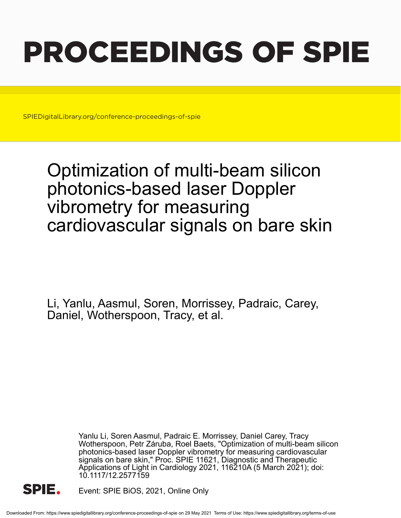# PROCEEDINGS OF SPIE

SPIEDigitalLibrary.org/conference-proceedings-of-spie

## Optimization of multi-beam silicon photonics-based laser Doppler vibrometry for measuring cardiovascular signals on bare skin

Li, Yanlu, Aasmul, Soren, Morrissey, Padraic, Carey, Daniel, Wotherspoon, Tracy, et al.

> Yanlu Li, Soren Aasmul, Padraic E. Morrissey, Daniel Carey, Tracy Wotherspoon, Petr Záruba, Roel Baets, "Optimization of multi-beam silicon photonics-based laser Doppler vibrometry for measuring cardiovascular signals on bare skin," Proc. SPIE 11621, Diagnostic and Therapeutic Applications of Light in Cardiology 2021, 116210A (5 March 2021); doi: 10.1117/12.2577159



Event: SPIE BiOS, 2021, Online Only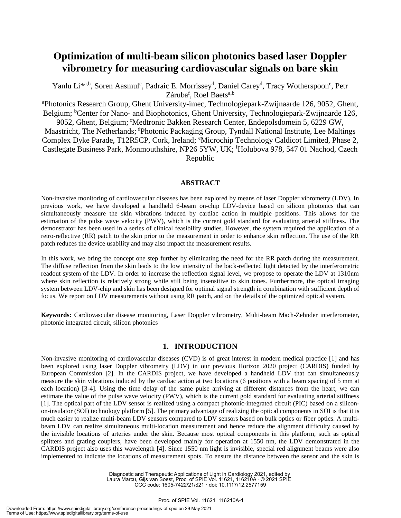### **Optimization of multi-beam silicon photonics based laser Doppler vibrometry for measuring cardiovascular signals on bare skin**

Yanlu Li<sup>\*a,b</sup>, Soren Aasmul<sup>c</sup>, Padraic E. Morrissey<sup>d</sup>, Daniel Carey<sup>d</sup>, Tracy Wotherspoon<sup>e</sup>, Petr Záruba<sup>f</sup>, Roel Baets<sup>a,b</sup>

<sup>a</sup>Photonics Research Group, Ghent University-imec, Technologiepark-Zwijnaarde 126, 9052, Ghent, Belgium; <sup>b</sup>Center for Nano- and Biophotonics, Ghent University, Technologiepark-Zwijnaarde 126, 9052, Ghent, Belgium; <sup>c</sup>Medtronic Bakken Research Center, Endepolsdomein 5, 6229 GW,

Maastricht, The Netherlands; <sup>d</sup>Photonic Packaging Group, Tyndall National Institute, Lee Maltings Complex Dyke Parade, T12R5CP, Cork, Ireland; <sup>e</sup>Microchip Technology Caldicot Limited, Phase 2, Castlegate Business Park, Monmouthshire, NP26 5YW, UK; <sup>f</sup>Holubova 978, 547 01 Nachod, Czech Republic

#### **ABSTRACT**

Non-invasive monitoring of cardiovascular diseases has been explored by means of laser Doppler vibrometry (LDV). In previous work, we have developed a handheld 6-beam on-chip LDV-device based on silicon photonics that can simultaneously measure the skin vibrations induced by cardiac action in multiple positions. This allows for the estimation of the pulse wave velocity (PWV), which is the current gold standard for evaluating arterial stiffness. The demonstrator has been used in a series of clinical feasibility studies. However, the system required the application of a retro-reflective (RR) patch to the skin prior to the measurement in order to enhance skin reflection. The use of the RR patch reduces the device usability and may also impact the measurement results.

In this work, we bring the concept one step further by eliminating the need for the RR patch during the measurement. The diffuse reflection from the skin leads to the low intensity of the back-reflected light detected by the interferometric readout system of the LDV. In order to increase the reflection signal level, we propose to operate the LDV at 1310nm where skin reflection is relatively strong while still being insensitive to skin tones. Furthermore, the optical imaging system between LDV-chip and skin has been designed for optimal signal strength in combination with sufficient depth of focus. We report on LDV measurements without using RR patch, and on the details of the optimized optical system.

**Keywords:** Cardiovascular disease monitoring, Laser Doppler vibrometry, Multi-beam Mach-Zehnder interferometer, photonic integrated circuit, silicon photonics

#### **1. INTRODUCTION**

Non-invasive monitoring of cardiovascular diseases (CVD) is of great interest in modern medical practice [1] and has been explored using laser Doppler vibrometry (LDV) in our previous Horizon 2020 project (CARDIS) funded by European Commission [2]. In the CARDIS project, we have developed a handheld LDV that can simultaneously measure the skin vibrations induced by the cardiac action at two locations (6 positions with a beam spacing of 5 mm at each location) [3-4]. Using the time delay of the same pulse arriving at different distances from the heart, we can estimate the value of the pulse wave velocity (PWV), which is the current gold standard for evaluating arterial stiffness [1]. The optical part of the LDV sensor is realized using a compact photonic-integrated circuit (PIC) based on a siliconon-insulator (SOI) technology platform [5]. The primary advantage of realizing the optical components in SOI is that it is much easier to realize multi-beam LDV sensors compared to LDV sensors based on bulk optics or fiber optics. A multibeam LDV can realize simultaneous multi-location measurement and hence reduce the alignment difficulty caused by the invisible locations of arteries under the skin. Because most optical components in this platform, such as optical splitters and grating couplers, have been developed mainly for operation at 1550 nm, the LDV demonstrated in the CARDIS project also uses this wavelength [4]. Since 1550 nm light is invisible, special red alignment beams were also implemented to indicate the locations of measurement spots. To ensure the distance between the sensor and the skin is

> Diagnostic and Therapeutic Applications of Light in Cardiology 2021, edited by Laura Marcu, Gijs van Soest, Proc. of SPIE Vol. 11621, 116210A · © 2021 SPIE CCC code: 1605-7422/21/\$21 · doi: 10.1117/12.2577159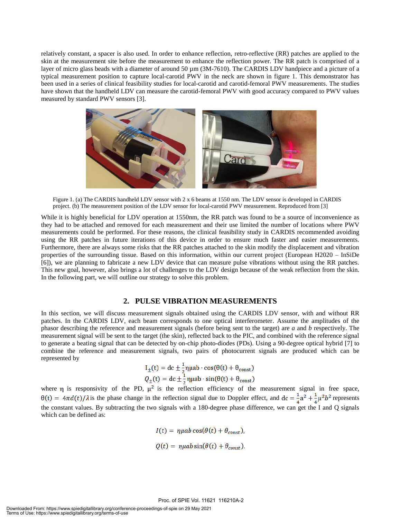relatively constant, a spacer is also used. In order to enhance reflection, retro-reflective (RR) patches are applied to the skin at the measurement site before the measurement to enhance the reflection power. The RR patch is comprised of a layer of micro glass beads with a diameter of around 50  $\mu$ m (3M-7610). The CARDIS LDV handpiece and a picture of a typical measurement position to capture local-carotid PWV in the neck are shown in figure 1. This demonstrator has been used in a series of clinical feasibility studies for local-carotid and carotid-femoral PWV measurements. The studies have shown that the handheld LDV can measure the carotid-femoral PWV with good accuracy compared to PWV values measured by standard PWV sensors [3].



Figure 1. (a) The CARDIS handheld LDV sensor with 2 x 6 beams at 1550 nm. The LDV sensor is developed in CARDIS project. (b) The measurement position of the LDV sensor for local-carotid PWV measurement. Reproduced from [3]

While it is highly beneficial for LDV operation at 1550nm, the RR patch was found to be a source of inconvenience as they had to be attached and removed for each measurement and their use limited the number of locations where PWV measurements could be performed. For these reasons, the clinical feasibility study in CARDIS recommended avoiding using the RR patches in future iterations of this device in order to ensure much faster and easier measurements. Furthermore, there are always some risks that the RR patches attached to the skin modify the displacement and vibration properties of the surrounding tissue. Based on this information, within our current project (European H2020 – InSiDe [6]), we are planning to fabricate a new LDV device that can measure pulse vibrations without using the RR patches. This new goal, however, also brings a lot of challenges to the LDV design because of the weak reflection from the skin. In the following part, we will outline our strategy to solve this problem.

#### **2. PULSE VIBRATION MEASUREMENTS**

In this section, we will discuss measurement signals obtained using the CARDIS LDV sensor, with and without RR patches. In the CARDIS LDV, each beam corresponds to one optical interferometer. Assume the amplitudes of the phasor describing the reference and measurement signals (before being sent to the target) are *a* and *b* respectively. The measurement signal will be sent to the target (the skin), reflected back to the PIC, and combined with the reference signal to generate a beating signal that can be detected by on-chip photo-diodes (PDs). Using a 90-degree optical hybrid [7] to combine the reference and measurement signals, two pairs of photocurrent signals are produced which can be represented by

$$
I_{\pm}(t) = dc \pm \frac{1}{2} \eta \mu ab \cdot \cos(\theta(t) + \theta_{const})
$$
  

$$
Q_{\pm}(t) = dc \pm \frac{1}{2} \eta \mu ab \cdot \sin(\theta(t) + \theta_{const})
$$

where  $\eta$  is responsivity of the PD,  $\mu^2$  is the reflection efficiency of the measurement signal in free space,  $\theta(t) = 4\pi d(t)/\lambda$  is the phase change in the reflection signal due to Doppler effect, and  $\frac{1}{4}a^2 + \frac{1}{4}\mu^2 b^2$  represents the constant values. By subtracting the two signals with a 180-degree phase difference, we can get the I and Q signals which can be defined as:

$$
I(t) = \eta \mu ab \cos(\theta(t) + \theta_{const}),
$$
  
 
$$
Q(t) = \eta \mu ab \sin(\theta(t) + \theta_{const}).
$$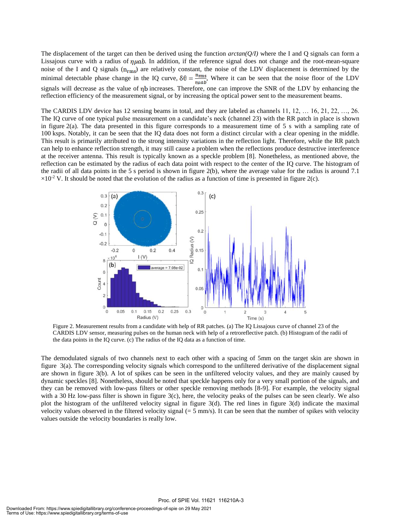The displacement of the target can then be derived using the function  $arctan(Q/I)$  where the I and Q signals can form a Lissajous curve with a radius of  $\eta\mu ab$ . In addition, if the reference signal does not change and the root-mean-square noise of the I and Q signals  $(n_{\rm rms})$  are relatively constant, the noise of the LDV displacement is determined by the minimal detectable phase change in the IQ curve,  $\delta\theta = \frac{n_{\text{rms}}}{\eta \mu ab}$ , Where it can be seen that the noise floor of the LDV signals will decrease as the value of  $\eta b$  increases. Therefore, one can improve the SNR of the LDV by enhancing the reflection efficiency of the measurement signal, or by increasing the optical power sent to the measurement beams.

The CARDIS LDV device has 12 sensing beams in total, and they are labeled as channels 11, 12, … 16, 21, 22, …, 26. The IQ curve of one typical pulse measurement on a candidate's neck (channel 23) with the RR patch in place is shown in figure  $2(a)$ . The data presented in this figure corresponds to a measurement time of 5 s with a sampling rate of 100 ksps. Notably, it can be seen that the IQ data does not form a distinct circular with a clear opening in the middle. This result is primarily attributed to the strong intensity variations in the reflection light. Therefore, while the RR patch can help to enhance reflection strength, it may still cause a problem when the reflections produce destructive interference at the receiver antenna. This result is typically known as a speckle problem [8]. Nonetheless, as mentioned above, the reflection can be estimated by the radius of each data point with respect to the center of the IQ curve. The histogram of the radii of all data points in the 5 s period is shown in figure 2(b), where the average value for the radius is around 7.1  $\times 10^{-2}$  V. It should be noted that the evolution of the radius as a function of time is presented in figure 2(c).



Figure 2. Measurement results from a candidate with help of RR patches. (a) The IQ Lissajous curve of channel 23 of the CARDIS LDV sensor, measuring pulses on the human neck with help of a retroreflective patch. (b) Histogram of the radii of the data points in the IQ curve. (c) The radius of the IQ data as a function of time.

The demodulated signals of two channels next to each other with a spacing of 5mm on the target skin are shown in figure 3(a). The corresponding velocity signals which correspond to the unfiltered derivative of the displacement signal are shown in figure 3(b). A lot of spikes can be seen in the unfiltered velocity values, and they are mainly caused by dynamic speckles [8]. Nonetheless, should be noted that speckle happens only for a very small portion of the signals, and they can be removed with low-pass filters or other speckle removing methods [8-9]. For example, the velocity signal with a 30 Hz low-pass filter is shown in figure 3(c), here, the velocity peaks of the pulses can be seen clearly. We also plot the histogram of the unfiltered velocity signal in figure  $3(d)$ . The red lines in figure  $3(d)$  indicate the maximal velocity values observed in the filtered velocity signal  $(= 5 \text{ mm/s})$ . It can be seen that the number of spikes with velocity values outside the velocity boundaries is really low.

Proc. of SPIE Vol. 11621 116210A-3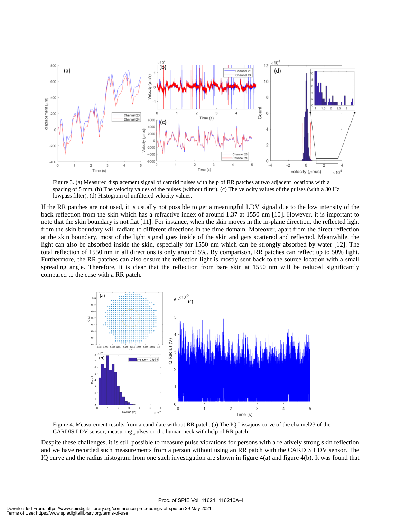

Figure 3. (a) Measured displacement signal of carotid pulses with help of RR patches at two adjacent locations with a spacing of 5 mm. (b) The velocity values of the pulses (without filter). (c) The velocity values of the pulses (with a 30 Hz lowpass filter). (d) Histogram of unfiltered velocity values.

If the RR patches are not used, it is usually not possible to get a meaningful LDV signal due to the low intensity of the back reflection from the skin which has a refractive index of around 1.37 at 1550 nm [10]. However, it is important to note that the skin boundary is not flat [11]. For instance, when the skin moves in the in-plane direction, the reflected light from the skin boundary will radiate to different directions in the time domain. Moreover, apart from the direct reflection at the skin boundary, most of the light signal goes inside of the skin and gets scattered and reflected. Meanwhile, the light can also be absorbed inside the skin, especially for 1550 nm which can be strongly absorbed by water [12]. The total reflection of 1550 nm in all directions is only around 5%. By comparison, RR patches can reflect up to 50% light. Furthermore, the RR patches can also ensure the reflection light is mostly sent back to the source location with a small spreading angle. Therefore, it is clear that the reflection from bare skin at 1550 nm will be reduced significantly compared to the case with a RR patch.



Figure 4. Measurement results from a candidate without RR patch. (a) The IQ Lissajous curve of the channel23 of the CARDIS LDV sensor, measuring pulses on the human neck with help of RR patch.

Despite these challenges, it is still possible to measure pulse vibrations for persons with a relatively strong skin reflection and we have recorded such measurements from a person without using an RR patch with the CARDIS LDV sensor. The IQ curve and the radius histogram from one such investigation are shown in figure 4(a) and figure 4(b). It was found that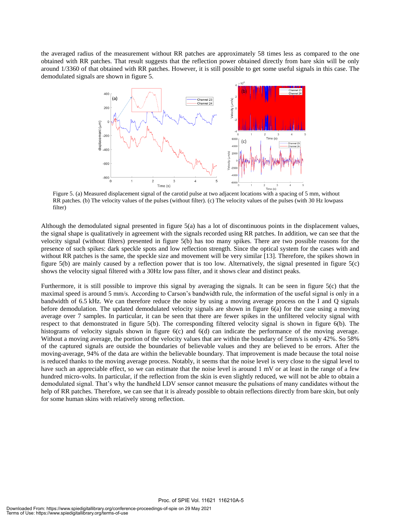the averaged radius of the measurement without RR patches are approximately 58 times less as compared to the one obtained with RR patches. That result suggests that the reflection power obtained directly from bare skin will be only around 1/3360 of that obtained with RR patches. However, it is still possible to get some useful signals in this case. The demodulated signals are shown in figure 5.



Figure 5. (a) Measured displacement signal of the carotid pulse at two adjacent locations with a spacing of 5 mm, without RR patches. (b) The velocity values of the pulses (without filter). (c) The velocity values of the pulses (with 30 Hz lowpass filter)

Although the demodulated signal presented in figure 5(a) has a lot of discontinuous points in the displacement values, the signal shape is qualitatively in agreement with the signals recorded using RR patches. In addition, we can see that the velocity signal (without filters) presented in figure 5(b) has too many spikes. There are two possible reasons for the presence of such spikes: dark speckle spots and low reflection strength. Since the optical system for the cases with and without RR patches is the same, the speckle size and movement will be very similar [13]. Therefore, the spikes shown in figure 5(b) are mainly caused by a reflection power that is too low. Alternatively, the signal presented in figure 5(c) shows the velocity signal filtered with a 30Hz low pass filter, and it shows clear and distinct peaks.

Furthermore, it is still possible to improve this signal by averaging the signals. It can be seen in figure 5(c) that the maximal speed is around 5 mm/s. According to Carson's bandwidth rule, the information of the useful signal is only in a bandwidth of 6.5 kHz. We can therefore reduce the noise by using a moving average process on the I and Q signals before demodulation. The updated demodulated velocity signals are shown in figure 6(a) for the case using a moving average over 7 samples. In particular, it can be seen that there are fewer spikes in the unfiltered velocity signal with respect to that demonstrated in figure 5(b). The corresponding filtered velocity signal is shown in figure 6(b). The histograms of velocity signals shown in figure 6(c) and 6(d) can indicate the performance of the moving average. Without a moving average, the portion of the velocity values that are within the boundary of 5mm/s is only 42%. So 58% of the captured signals are outside the boundaries of believable values and they are believed to be errors. After the moving-average, 94% of the data are within the believable boundary. That improvement is made because the total noise is reduced thanks to the moving average process. Notably, it seems that the noise level is very close to the signal level to have such an appreciable effect, so we can estimate that the noise level is around 1 mV or at least in the range of a few hundred micro-volts. In particular, if the reflection from the skin is even slightly reduced, we will not be able to obtain a demodulated signal. That's why the handheld LDV sensor cannot measure the pulsations of many candidates without the help of RR patches. Therefore, we can see that it is already possible to obtain reflections directly from bare skin, but only for some human skins with relatively strong reflection.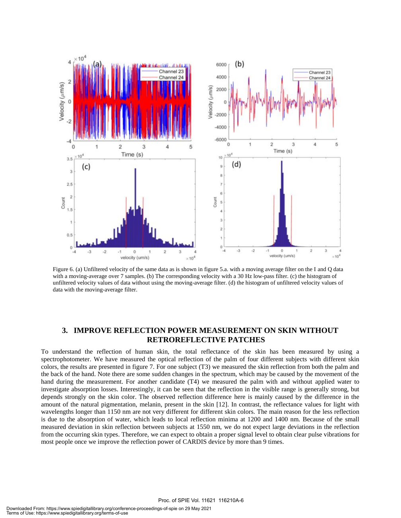

Figure 6. (a) Unfiltered velocity of the same data as is shown in figure 5.a. with a moving average filter on the I and Q data with a moving-average over 7 samples. (b) The corresponding velocity with a 30 Hz low-pass filter. (c) the histogram of unfiltered velocity values of data without using the moving-average filter. (d) the histogram of unfiltered velocity values of data with the moving-average filter.

#### **3. IMPROVE REFLECTION POWER MEASUREMENT ON SKIN WITHOUT RETROREFLECTIVE PATCHES**

To understand the reflection of human skin, the total reflectance of the skin has been measured by using a spectrophotometer. We have measured the optical reflection of the palm of four different subjects with different skin colors, the results are presented in figure 7. For one subject (T3) we measured the skin reflection from both the palm and the back of the hand. Note there are some sudden changes in the spectrum, which may be caused by the movement of the hand during the measurement. For another candidate (T4) we measured the palm with and without applied water to investigate absorption losses. Interestingly, it can be seen that the reflection in the visible range is generally strong, but depends strongly on the skin color. The observed reflection difference here is mainly caused by the difference in the amount of the natural pigmentation, melanin, present in the skin [12]. In contrast, the reflectance values for light with wavelengths longer than 1150 nm are not very different for different skin colors. The main reason for the less reflection is due to the absorption of water, which leads to local reflection minima at 1200 and 1400 nm. Because of the small measured deviation in skin reflection between subjects at 1550 nm, we do not expect large deviations in the reflection from the occurring skin types. Therefore, we can expect to obtain a proper signal level to obtain clear pulse vibrations for most people once we improve the reflection power of CARDIS device by more than 9 times.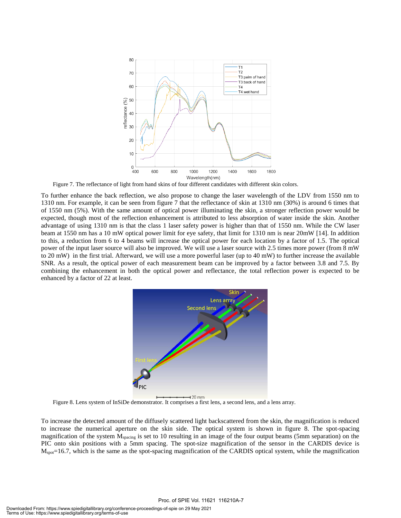

Figure 7. The reflectance of light from hand skins of four different candidates with different skin colors.

To further enhance the back reflection, we also propose to change the laser wavelength of the LDV from 1550 nm to 1310 nm. For example, it can be seen from figure 7 that the reflectance of skin at 1310 nm (30%) is around 6 times that of 1550 nm (5%). With the same amount of optical power illuminating the skin, a stronger reflection power would be expected, though most of the reflection enhancement is attributed to less absorption of water inside the skin. Another advantage of using 1310 nm is that the class 1 laser safety power is higher than that of 1550 nm. While the CW laser beam at 1550 nm has a 10 mW optical power limit for eye safety, that limit for 1310 nm is near 20mW [14]. In addition to this, a reduction from 6 to 4 beams will increase the optical power for each location by a factor of 1.5. The optical power of the input laser source will also be improved. We will use a laser source with 2.5 times more power (from 8 mW to 20 mW) in the first trial. Afterward, we will use a more powerful laser (up to 40 mW) to further increase the available SNR. As a result, the optical power of each measurement beam can be improved by a factor between 3.8 and 7.5. By combining the enhancement in both the optical power and reflectance, the total reflection power is expected to be enhanced by a factor of 22 at least.



Figure 8. Lens system of InSiDe demonstrator. It comprises a first lens, a second lens, and a lens array.

To increase the detected amount of the diffusely scattered light backscattered from the skin, the magnification is reduced to increase the numerical aperture on the skin side. The optical system is shown in figure 8. The spot-spacing magnification of the system Mspacing is set to 10 resulting in an image of the four output beams (5mm separation) on the PIC onto skin positions with a 5mm spacing. The spot-size magnification of the sensor in the CARDIS device is  $M_{\text{spot}}$ =16.7, which is the same as the spot-spacing magnification of the CARDIS optical system, while the magnification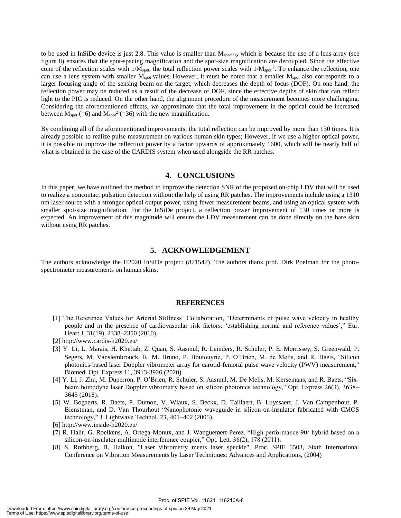to be used in InSiDe device is just 2.8. This value is smaller than M<sub>spacing</sub>, which is because the use of a lens array (see figure 8) ensures that the spot-spacing magnification and the spot-size magnification are decoupled. Since the effective cone of the reflection scales with  $1/M_{\text{spot}}$ , the total reflection power scales with  $1/M_{\text{spot}}^2$ . To enhance the reflection, one can use a lens system with smaller  $M<sub>spot</sub>$  values. However, it must be noted that a smaller  $M<sub>spot</sub>$  also corresponds to a larger focusing angle of the sensing beam on the target, which decreases the depth of focus (DOF). On one hand, the reflection power may be reduced as a result of the decrease of DOF, since the effective depths of skin that can reflect light to the PIC is reduced. On the other hand, the alignment procedure of the measurement becomes more challenging. Considering the aforementioned effects, we approximate that the total improvement in the optical could be increased between  $M_{spot}$  (=6) and  $M_{spot}^2$  (=36) with the new magnification.

By combining all of the aforementioned improvements, the total reflection can be improved by more than 130 times. It is already possible to realize pulse measurement on various human skin types; However, if we use a higher optical power, it is possible to improve the reflection power by a factor upwards of approximately 1600, which will be nearly half of what is obtained in the case of the CARDIS system when used alongside the RR patches.

#### **4. CONCLUSIONS**

In this paper, we have outlined the method to improve the detection SNR of the proposed on-chip LDV that will be used to realize a noncontact pulsation detection without the help of using RR patches. The improvements include using a 1310 nm laser source with a stronger optical output power, using fewer measurement beams, and using an optical system with smaller spot-size magnification. For the InSiDe project, a reflection power improvement of 130 times or more is expected. An improvement of this magnitude will ensure the LDV measurement can be done directly on the bare skin without using RR patches.

#### **5. ACKNOWLEDGEMENT**

The authors acknowledge the H2020 InSiDe project (871547). The authors thank prof. Dirk Poelman for the photospectrometer measurements on human skins.

#### **REFERENCES**

- [1] The Reference Values for Arterial Stiffness' Collaboration, "Determinants of pulse wave velocity in healthy people and in the presence of cardiovascular risk factors: 'establishing normal and reference values'," Eur. Heart J. 31(19), 2338–2350 (2010).
- [2] http://www.cardis-h2020.eu/
- [3] Y. Li, L. Marais, H. Khettab, Z. Quan, S. Aasmul, R. Leinders, R. Schüler, P. E. Morrissey, S. Greenwald, P. Segers, M. Vanslembrouck, R. M. Bruno, P. Boutouyrie, P. O'Brien, M. de Melis, and R. Baets, "Silicon photonics-based laser Doppler vibrometer array for carotid-femoral pulse wave velocity (PWV) measurement," Biomed. Opt. Express 11, 3913-3926 (2020)
- [4] Y. Li, J. Zhu, M. Duperron, P. O'Brien, R. Schuler, S. Aasmul, M. De Melis, M. Kersemans, and R. Baets, "Sixbeam homodyne laser Doppler vibrometry based on silicon photonics technology," Opt. Express 26(3), 3638– 3645 (2018).
- [5] W. Bogaerts, R. Baets, P. Dumon, V. Wiaux, S. Beckx, D. Taillaert, B. Luyssaert, J. Van Campenhout, P. Bienstman, and D. Van Thourhout "Nanophotonic waveguide in silicon-on-insulator fabricated with CMOS technology," J. Lightwave Technol. 23, 401–402 (2005).

- [7] R. Halir, G. Roelkens, A. Ortega-Monux, and J. Wanguemert-Perez, "High performance 90◦ hybrid based on a silicon-on-insulator multimode interference coupler," Opt. Lett. 36(2), 178 (2011).
- [8] S. Rothberg, B. Halkon, "Laser vibrometry meets laser speckle", Proc. SPIE 5503, Sixth International Conference on Vibration Measurements by Laser Techniques: Advances and Applications, (2004)

<sup>[6]</sup> http://www.inside-h2020.eu/